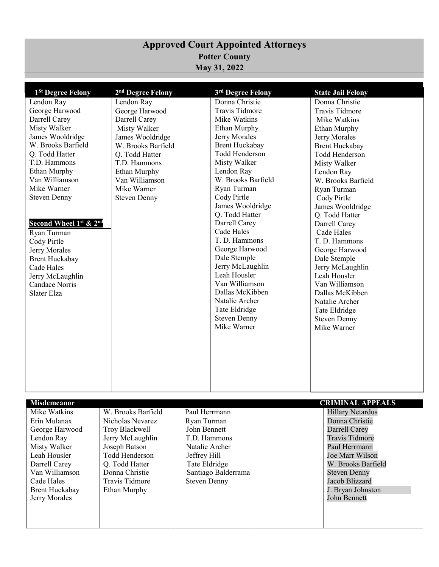## **Approved Court Appointed Attorneys Potter County May 31, 2022**

| 1 <sup>St</sup> Degree Felony | 2 <sup>nd</sup> Degree Felony | 3rd Degree Felony                  | <b>State Jail Felony</b> |
|-------------------------------|-------------------------------|------------------------------------|--------------------------|
| Lendon Ray                    | Lendon Ray                    | Donna Christie                     | Donna Christie           |
| George Harwood                | George Harwood                | <b>Travis Tidmore</b>              | <b>Travis Tidmore</b>    |
| Darrell Carey                 | Darrell Carey                 | Mike Watkins                       | Mike Watkins             |
| Misty Walker                  | Misty Walker                  | <b>Ethan Murphy</b>                | Ethan Murphy             |
| James Wooldridge              | James Wooldridge              | Jerry Morales                      | Jerry Morales            |
| W. Brooks Barfield            | W. Brooks Barfield            | <b>Brent Huckabay</b>              | <b>Brent Huckabay</b>    |
| Q. Todd Hatter                | Q. Todd Hatter                | <b>Todd Henderson</b>              | Todd Henderson           |
| T.D. Hammons                  | T.D. Hammons                  | Misty Walker                       | Misty Walker             |
| Ethan Murphy                  | <b>Ethan Murphy</b>           | Lendon Ray                         | Lendon Ray               |
| Van Williamson                | Van Williamson                | W. Brooks Barfield                 | W. Brooks Barfield       |
| Mike Warner                   | Mike Warner                   | Ryan Turman                        | Ryan Turman              |
| <b>Steven Denny</b>           | <b>Steven Denny</b>           | Cody Pirtle                        | Cody Pirtle              |
|                               |                               | James Wooldridge                   | James Wooldridge         |
|                               |                               | Q. Todd Hatter                     | Q. Todd Hatter           |
| Second Wheel 1st & 2nd        |                               | Darrell Carey                      | Darrell Carey            |
| Ryan Turman                   |                               | Cade Hales                         | Cade Hales               |
| Cody Pirtle                   |                               | T. D. Hammons                      | T. D. Hammons            |
| Jerry Morales                 |                               | George Harwood                     | George Harwood           |
| <b>Brent Huckabay</b>         |                               | Dale Stemple                       | Dale Stemple             |
| Cade Hales                    |                               | Jerry McLaughlin                   | Jerry McLaughlin         |
| Jerry McLaughlin              |                               | Leah Housler                       | Leah Housler             |
| Candace Norris                |                               | Van Williamson                     | Van Williamson           |
| Slater Elza                   |                               | Dallas McKibben                    | Dallas McKibben          |
|                               |                               | Natalie Archer                     | Natalie Archer           |
|                               |                               | Tate Eldridge                      | Tate Eldridge            |
|                               |                               | <b>Steven Denny</b><br>Mike Warner | <b>Steven Denny</b>      |
|                               |                               |                                    | Mike Warner              |
|                               |                               |                                    |                          |
|                               |                               |                                    |                          |
|                               |                               |                                    |                          |
|                               |                               |                                    |                          |
|                               |                               |                                    |                          |
|                               |                               |                                    |                          |
|                               |                               |                                    |                          |

| <b>Misdemeanor</b>    |                    | <b>CRIMINAL APPEALS</b> |                         |
|-----------------------|--------------------|-------------------------|-------------------------|
| Mike Watkins          | W. Brooks Barfield | Paul Herrmann           | <b>Hillary Netardus</b> |
| Erin Mulanax          | Nicholas Nevarez   | Ryan Turman             | Donna Christie          |
| George Harwood        | Troy Blackwell     | John Bennett            | Darrell Carey           |
| Lendon Ray            | Jerry McLaughlin   | T.D. Hammons            | <b>Travis Tidmore</b>   |
| Misty Walker          | Joseph Batson      | Natalie Archer          | Paul Herrmann           |
| Leah Housler          | Todd Henderson     | Jeffrey Hill            | Joe Marr Wilson         |
| Darrell Carey         | Q. Todd Hatter     | Tate Eldridge           | W. Brooks Barfield      |
| Van Williamson        | Donna Christie     | Santiago Balderrama     | Steven Denny            |
| Cade Hales            | Travis Tidmore     | <b>Steven Denny</b>     | Jacob Blizzard          |
| <b>Brent Huckabay</b> | Ethan Murphy       |                         | J. Bryan Johnston       |
| Jerry Morales         |                    |                         | John Bennett            |
|                       |                    |                         |                         |
|                       |                    |                         |                         |